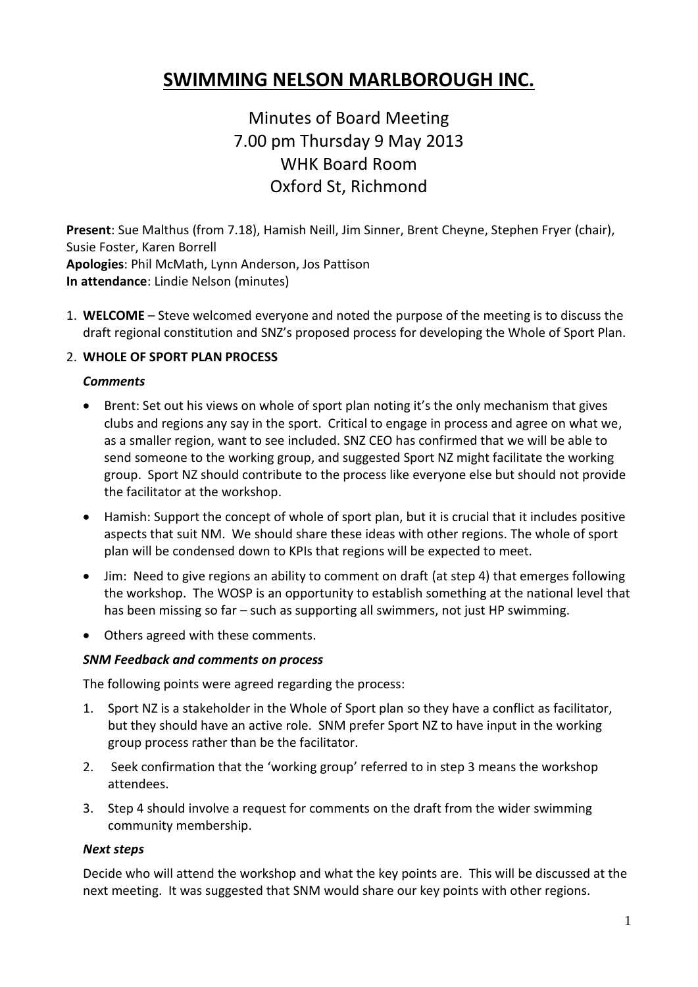# **SWIMMING NELSON MARLBOROUGH INC.**

Minutes of Board Meeting 7.00 pm Thursday 9 May 2013 WHK Board Room Oxford St, Richmond

**Present**: Sue Malthus (from 7.18), Hamish Neill, Jim Sinner, Brent Cheyne, Stephen Fryer (chair), Susie Foster, Karen Borrell **Apologies**: Phil McMath, Lynn Anderson, Jos Pattison **In attendance**: Lindie Nelson (minutes)

1. **WELCOME** – Steve welcomed everyone and noted the purpose of the meeting is to discuss the draft regional constitution and SNZ's proposed process for developing the Whole of Sport Plan.

## 2. **WHOLE OF SPORT PLAN PROCESS**

#### *Comments*

- Brent: Set out his views on whole of sport plan noting it's the only mechanism that gives clubs and regions any say in the sport. Critical to engage in process and agree on what we, as a smaller region, want to see included. SNZ CEO has confirmed that we will be able to send someone to the working group, and suggested Sport NZ might facilitate the working group. Sport NZ should contribute to the process like everyone else but should not provide the facilitator at the workshop.
- Hamish: Support the concept of whole of sport plan, but it is crucial that it includes positive aspects that suit NM. We should share these ideas with other regions. The whole of sport plan will be condensed down to KPIs that regions will be expected to meet.
- Jim: Need to give regions an ability to comment on draft (at step 4) that emerges following the workshop. The WOSP is an opportunity to establish something at the national level that has been missing so far – such as supporting all swimmers, not just HP swimming.
- Others agreed with these comments.

## *SNM Feedback and comments on process*

The following points were agreed regarding the process:

- 1. Sport NZ is a stakeholder in the Whole of Sport plan so they have a conflict as facilitator, but they should have an active role. SNM prefer Sport NZ to have input in the working group process rather than be the facilitator.
- 2. Seek confirmation that the 'working group' referred to in step 3 means the workshop attendees.
- 3. Step 4 should involve a request for comments on the draft from the wider swimming community membership.

#### *Next steps*

Decide who will attend the workshop and what the key points are. This will be discussed at the next meeting. It was suggested that SNM would share our key points with other regions.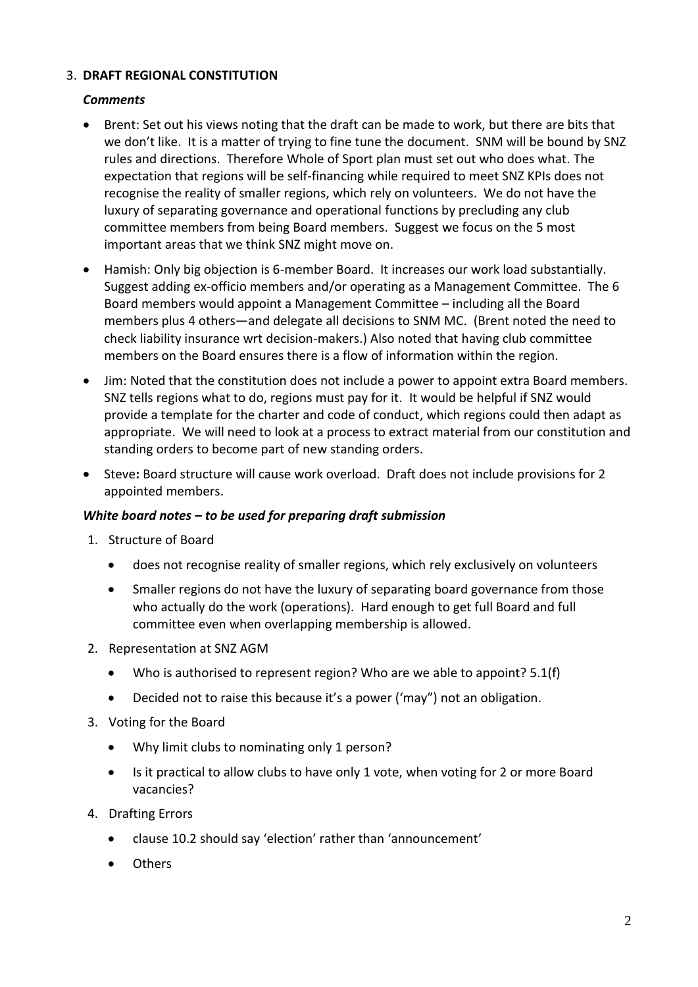## 3. **DRAFT REGIONAL CONSTITUTION**

## *Comments*

- Brent: Set out his views noting that the draft can be made to work, but there are bits that we don't like. It is a matter of trying to fine tune the document. SNM will be bound by SNZ rules and directions. Therefore Whole of Sport plan must set out who does what. The expectation that regions will be self-financing while required to meet SNZ KPIs does not recognise the reality of smaller regions, which rely on volunteers. We do not have the luxury of separating governance and operational functions by precluding any club committee members from being Board members. Suggest we focus on the 5 most important areas that we think SNZ might move on.
- Hamish: Only big objection is 6-member Board. It increases our work load substantially. Suggest adding ex-officio members and/or operating as a Management Committee. The 6 Board members would appoint a Management Committee – including all the Board members plus 4 others—and delegate all decisions to SNM MC. (Brent noted the need to check liability insurance wrt decision-makers.) Also noted that having club committee members on the Board ensures there is a flow of information within the region.
- Jim: Noted that the constitution does not include a power to appoint extra Board members. SNZ tells regions what to do, regions must pay for it. It would be helpful if SNZ would provide a template for the charter and code of conduct, which regions could then adapt as appropriate. We will need to look at a process to extract material from our constitution and standing orders to become part of new standing orders.
- Steve**:** Board structure will cause work overload. Draft does not include provisions for 2 appointed members.

## *White board notes – to be used for preparing draft submission*

- 1. Structure of Board
	- does not recognise reality of smaller regions, which rely exclusively on volunteers
	- Smaller regions do not have the luxury of separating board governance from those who actually do the work (operations). Hard enough to get full Board and full committee even when overlapping membership is allowed.
- 2. Representation at SNZ AGM
	- Who is authorised to represent region? Who are we able to appoint? 5.1(f)
	- Decided not to raise this because it's a power ('may") not an obligation.
- 3. Voting for the Board
	- Why limit clubs to nominating only 1 person?
	- Is it practical to allow clubs to have only 1 vote, when voting for 2 or more Board vacancies?
- 4. Drafting Errors
	- clause 10.2 should say 'election' rather than 'announcement'
	- **Others**